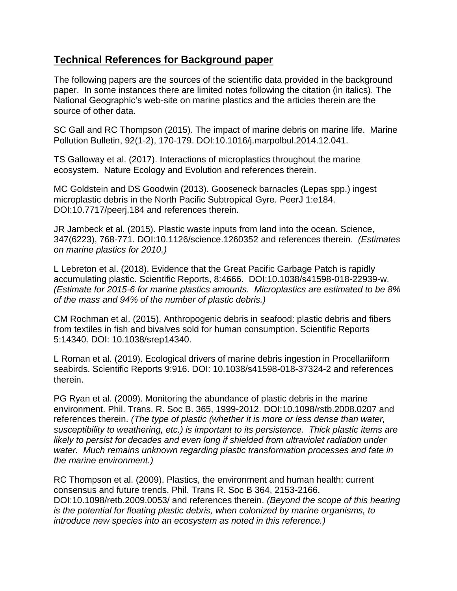## **Technical References for Background paper**

The following papers are the sources of the scientific data provided in the background paper. In some instances there are limited notes following the citation (in italics). The National Geographic's web-site on marine plastics and the articles therein are the source of other data.

SC Gall and RC Thompson (2015). The impact of marine debris on marine life. Marine Pollution Bulletin, 92(1-2), 170-179. DOI:10.1016/j.marpolbul.2014.12.041.

TS Galloway et al. (2017). Interactions of microplastics throughout the marine ecosystem. Nature Ecology and Evolution and references therein.

MC Goldstein and DS Goodwin (2013). Gooseneck barnacles (Lepas spp.) ingest microplastic debris in the North Pacific Subtropical Gyre. PeerJ 1:e184. DOI:10.7717/peerj.184 and references therein.

JR Jambeck et al. (2015). Plastic waste inputs from land into the ocean. Science, 347(6223), 768-771. DOI:10.1126/science.1260352 and references therein. *(Estimates on marine plastics for 2010.)*

L Lebreton et al. (2018). Evidence that the Great Pacific Garbage Patch is rapidly accumulating plastic. Scientific Reports, 8:4666. DOI:10.1038/s41598-018-22939-w. *(Estimate for 2015-6 for marine plastics amounts. Microplastics are estimated to be 8% of the mass and 94% of the number of plastic debris.)*

CM Rochman et al. (2015). Anthropogenic debris in seafood: plastic debris and fibers from textiles in fish and bivalves sold for human consumption. Scientific Reports 5:14340. DOI: 10.1038/srep14340.

L Roman et al. (2019). Ecological drivers of marine debris ingestion in Procellariiform seabirds. Scientific Reports 9:916. DOI: 10.1038/s41598-018-37324-2 and references therein.

PG Ryan et al. (2009). Monitoring the abundance of plastic debris in the marine environment. Phil. Trans. R. Soc B. 365, 1999-2012. DOI:10.1098/rstb.2008.0207 and references therein. *(The type of plastic (whether it is more or less dense than water, susceptibility to weathering, etc.) is important to its persistence. Thick plastic items are likely to persist for decades and even long if shielded from ultraviolet radiation under water. Much remains unknown regarding plastic transformation processes and fate in the marine environment.)*

RC Thompson et al. (2009). Plastics, the environment and human health: current consensus and future trends. Phil. Trans R. Soc B 364, 2153-2166. DOI:10.1098/retb.2009.0053/ and references therein. *(Beyond the scope of this hearing is the potential for floating plastic debris, when colonized by marine organisms, to introduce new species into an ecosystem as noted in this reference.)*